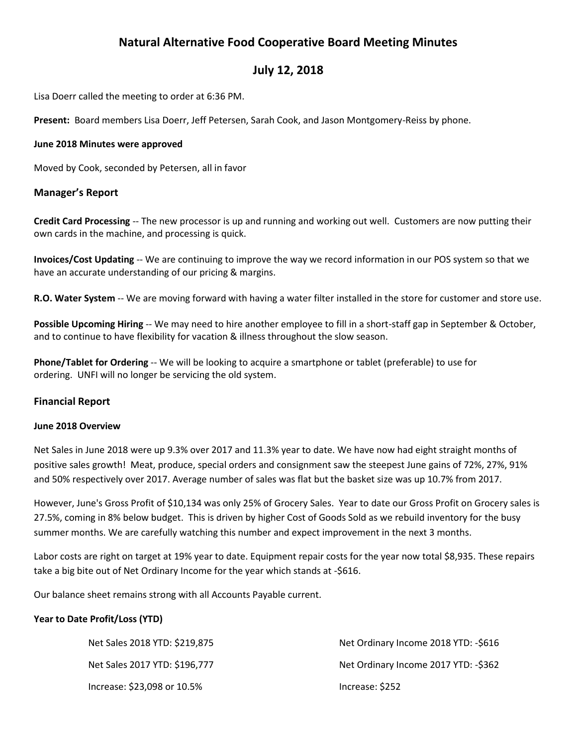# **Natural Alternative Food Cooperative Board Meeting Minutes**

## **July 12, 2018**

Lisa Doerr called the meeting to order at 6:36 PM.

**Present:** Board members Lisa Doerr, Jeff Petersen, Sarah Cook, and Jason Montgomery-Reiss by phone.

#### **June 2018 Minutes were approved**

Moved by Cook, seconded by Petersen, all in favor

#### **Manager's Report**

**Credit Card Processing** -- The new processor is up and running and working out well. Customers are now putting their own cards in the machine, and processing is quick.

**Invoices/Cost Updating** -- We are continuing to improve the way we record information in our POS system so that we have an accurate understanding of our pricing & margins.

**R.O. Water System** -- We are moving forward with having a water filter installed in the store for customer and store use.

**Possible Upcoming Hiring** -- We may need to hire another employee to fill in a short-staff gap in September & October, and to continue to have flexibility for vacation & illness throughout the slow season.

**Phone/Tablet for Ordering** -- We will be looking to acquire a smartphone or tablet (preferable) to use for ordering. UNFI will no longer be servicing the old system.

#### **Financial Report**

#### **June 2018 Overview**

Net Sales in June 2018 were up 9.3% over 2017 and 11.3% year to date. We have now had eight straight months of positive sales growth! Meat, produce, special orders and consignment saw the steepest June gains of 72%, 27%, 91% and 50% respectively over 2017. Average number of sales was flat but the basket size was up 10.7% from 2017.

However, June's Gross Profit of \$10,134 was only 25% of Grocery Sales. Year to date our Gross Profit on Grocery sales is 27.5%, coming in 8% below budget. This is driven by higher Cost of Goods Sold as we rebuild inventory for the busy summer months. We are carefully watching this number and expect improvement in the next 3 months.

Labor costs are right on target at 19% year to date. Equipment repair costs for the year now total \$8,935. These repairs take a big bite out of Net Ordinary Income for the year which stands at -\$616.

Our balance sheet remains strong with all Accounts Payable current.

#### **Year to Date Profit/Loss (YTD)**

| Net Sales 2018 YTD: \$219,875 | Net Ordinary Income 2018 YTD: -\$616 |
|-------------------------------|--------------------------------------|
| Net Sales 2017 YTD: \$196,777 | Net Ordinary Income 2017 YTD: -\$362 |
| Increase: \$23,098 or 10.5%   | Increase: \$252                      |